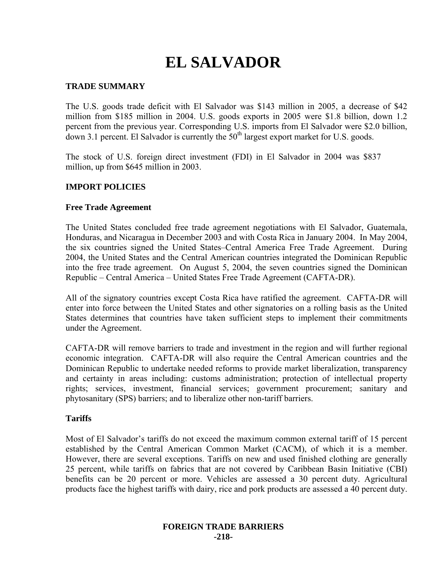# **EL SALVADOR**

## **TRADE SUMMARY**

The U.S. goods trade deficit with El Salvador was \$143 million in 2005, a decrease of \$42 million from \$185 million in 2004. U.S. goods exports in 2005 were \$1.8 billion, down 1.2 percent from the previous year. Corresponding U.S. imports from El Salvador were \$2.0 billion, down 3.1 percent. El Salvador is currently the  $50<sup>th</sup>$  largest export market for U.S. goods.

The stock of U.S. foreign direct investment (FDI) in El Salvador in 2004 was \$837 million, up from \$645 million in 2003.

## **IMPORT POLICIES**

## **Free Trade Agreement**

The United States concluded free trade agreement negotiations with El Salvador, Guatemala, Honduras, and Nicaragua in December 2003 and with Costa Rica in January 2004. In May 2004, the six countries signed the United States–Central America Free Trade Agreement. During 2004, the United States and the Central American countries integrated the Dominican Republic into the free trade agreement. On August 5, 2004, the seven countries signed the Dominican Republic – Central America – United States Free Trade Agreement (CAFTA-DR).

All of the signatory countries except Costa Rica have ratified the agreement. CAFTA-DR will enter into force between the United States and other signatories on a rolling basis as the United States determines that countries have taken sufficient steps to implement their commitments under the Agreement.

CAFTA-DR will remove barriers to trade and investment in the region and will further regional economic integration. CAFTA-DR will also require the Central American countries and the Dominican Republic to undertake needed reforms to provide market liberalization, transparency and certainty in areas including: customs administration; protection of intellectual property rights; services, investment, financial services; government procurement; sanitary and phytosanitary (SPS) barriers; and to liberalize other non-tariff barriers.

## **Tariffs**

Most of El Salvador's tariffs do not exceed the maximum common external tariff of 15 percent established by the Central American Common Market (CACM), of which it is a member. However, there are several exceptions. Tariffs on new and used finished clothing are generally 25 percent, while tariffs on fabrics that are not covered by Caribbean Basin Initiative (CBI) benefits can be 20 percent or more. Vehicles are assessed a 30 percent duty. Agricultural products face the highest tariffs with dairy, rice and pork products are assessed a 40 percent duty.

#### **FOREIGN TRADE BARRIERS -218-**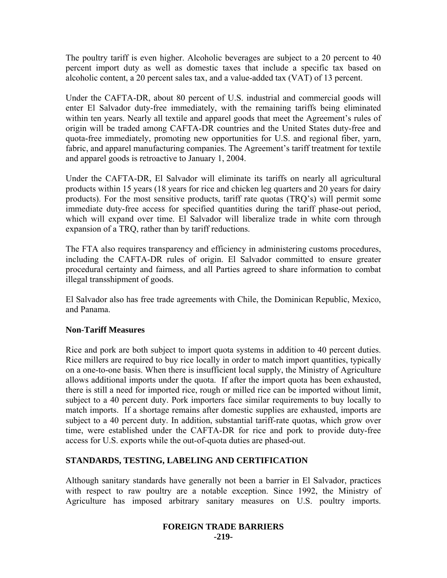The poultry tariff is even higher. Alcoholic beverages are subject to a 20 percent to 40 percent import duty as well as domestic taxes that include a specific tax based on alcoholic content, a 20 percent sales tax, and a value-added tax (VAT) of 13 percent.

Under the CAFTA-DR, about 80 percent of U.S. industrial and commercial goods will enter El Salvador duty-free immediately, with the remaining tariffs being eliminated within ten years. Nearly all textile and apparel goods that meet the Agreement's rules of origin will be traded among CAFTA-DR countries and the United States duty-free and quota-free immediately, promoting new opportunities for U.S. and regional fiber, yarn, fabric, and apparel manufacturing companies. The Agreement's tariff treatment for textile and apparel goods is retroactive to January 1, 2004.

Under the CAFTA-DR, El Salvador will eliminate its tariffs on nearly all agricultural products within 15 years (18 years for rice and chicken leg quarters and 20 years for dairy products). For the most sensitive products, tariff rate quotas (TRQ's) will permit some immediate duty-free access for specified quantities during the tariff phase-out period, which will expand over time. El Salvador will liberalize trade in white corn through expansion of a TRQ, rather than by tariff reductions.

The FTA also requires transparency and efficiency in administering customs procedures, including the CAFTA-DR rules of origin. El Salvador committed to ensure greater procedural certainty and fairness, and all Parties agreed to share information to combat illegal transshipment of goods.

El Salvador also has free trade agreements with Chile, the Dominican Republic, Mexico, and Panama.

# **Non-Tariff Measures**

Rice and pork are both subject to import quota systems in addition to 40 percent duties. Rice millers are required to buy rice locally in order to match import quantities, typically on a one-to-one basis. When there is insufficient local supply, the Ministry of Agriculture allows additional imports under the quota. If after the import quota has been exhausted, there is still a need for imported rice, rough or milled rice can be imported without limit, subject to a 40 percent duty. Pork importers face similar requirements to buy locally to match imports. If a shortage remains after domestic supplies are exhausted, imports are subject to a 40 percent duty. In addition, substantial tariff-rate quotas, which grow over time, were established under the CAFTA-DR for rice and pork to provide duty-free access for U.S. exports while the out-of-quota duties are phased-out.

# **STANDARDS, TESTING, LABELING AND CERTIFICATION**

Although sanitary standards have generally not been a barrier in El Salvador, practices with respect to raw poultry are a notable exception. Since 1992, the Ministry of Agriculture has imposed arbitrary sanitary measures on U.S. poultry imports.

## **FOREIGN TRADE BARRIERS -219-**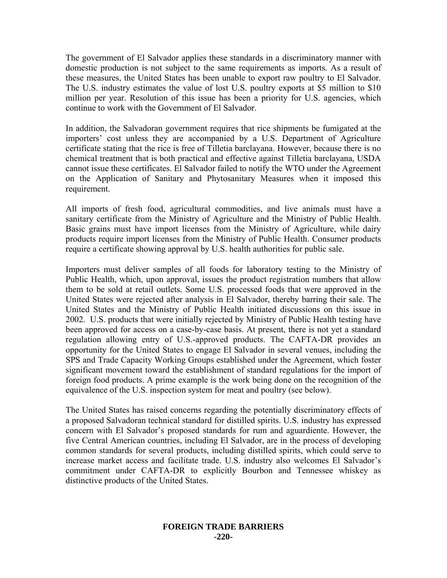The government of El Salvador applies these standards in a discriminatory manner with domestic production is not subject to the same requirements as imports. As a result of these measures, the United States has been unable to export raw poultry to El Salvador. The U.S. industry estimates the value of lost U.S. poultry exports at \$5 million to \$10 million per year. Resolution of this issue has been a priority for U.S. agencies, which continue to work with the Government of El Salvador.

In addition, the Salvadoran government requires that rice shipments be fumigated at the importers' cost unless they are accompanied by a U.S. Department of Agriculture certificate stating that the rice is free of Tilletia barclayana. However, because there is no chemical treatment that is both practical and effective against Tilletia barclayana, USDA cannot issue these certificates. El Salvador failed to notify the WTO under the Agreement on the Application of Sanitary and Phytosanitary Measures when it imposed this requirement.

All imports of fresh food, agricultural commodities, and live animals must have a sanitary certificate from the Ministry of Agriculture and the Ministry of Public Health. Basic grains must have import licenses from the Ministry of Agriculture, while dairy products require import licenses from the Ministry of Public Health. Consumer products require a certificate showing approval by U.S. health authorities for public sale.

Importers must deliver samples of all foods for laboratory testing to the Ministry of Public Health, which, upon approval, issues the product registration numbers that allow them to be sold at retail outlets. Some U.S. processed foods that were approved in the United States were rejected after analysis in El Salvador, thereby barring their sale. The United States and the Ministry of Public Health initiated discussions on this issue in 2002. U.S. products that were initially rejected by Ministry of Public Health testing have been approved for access on a case-by-case basis. At present, there is not yet a standard regulation allowing entry of U.S.-approved products. The CAFTA-DR provides an opportunity for the United States to engage El Salvador in several venues, including the SPS and Trade Capacity Working Groups established under the Agreement, which foster significant movement toward the establishment of standard regulations for the import of foreign food products. A prime example is the work being done on the recognition of the equivalence of the U.S. inspection system for meat and poultry (see below).

The United States has raised concerns regarding the potentially discriminatory effects of a proposed Salvadoran technical standard for distilled spirits. U.S. industry has expressed concern with El Salvador's proposed standards for rum and aguardiente. However, the five Central American countries, including El Salvador, are in the process of developing common standards for several products, including distilled spirits, which could serve to increase market access and facilitate trade. U.S. industry also welcomes El Salvador's commitment under CAFTA-DR to explicitly Bourbon and Tennessee whiskey as distinctive products of the United States.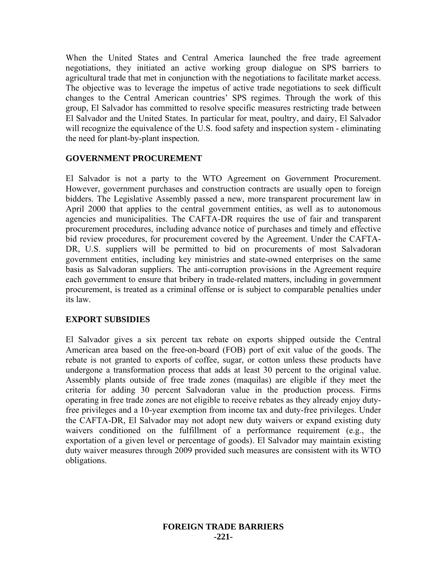When the United States and Central America launched the free trade agreement negotiations, they initiated an active working group dialogue on SPS barriers to agricultural trade that met in conjunction with the negotiations to facilitate market access. The objective was to leverage the impetus of active trade negotiations to seek difficult changes to the Central American countries' SPS regimes. Through the work of this group, El Salvador has committed to resolve specific measures restricting trade between El Salvador and the United States. In particular for meat, poultry, and dairy, El Salvador will recognize the equivalence of the U.S. food safety and inspection system - eliminating the need for plant-by-plant inspection.

## **GOVERNMENT PROCUREMENT**

El Salvador is not a party to the WTO Agreement on Government Procurement. However, government purchases and construction contracts are usually open to foreign bidders. The Legislative Assembly passed a new, more transparent procurement law in April 2000 that applies to the central government entities, as well as to autonomous agencies and municipalities. The CAFTA-DR requires the use of fair and transparent procurement procedures, including advance notice of purchases and timely and effective bid review procedures, for procurement covered by the Agreement. Under the CAFTA-DR, U.S. suppliers will be permitted to bid on procurements of most Salvadoran government entities, including key ministries and state-owned enterprises on the same basis as Salvadoran suppliers. The anti-corruption provisions in the Agreement require each government to ensure that bribery in trade-related matters, including in government procurement, is treated as a criminal offense or is subject to comparable penalties under its law.

## **EXPORT SUBSIDIES**

El Salvador gives a six percent tax rebate on exports shipped outside the Central American area based on the free-on-board (FOB) port of exit value of the goods. The rebate is not granted to exports of coffee, sugar, or cotton unless these products have undergone a transformation process that adds at least 30 percent to the original value. Assembly plants outside of free trade zones (maquilas) are eligible if they meet the criteria for adding 30 percent Salvadoran value in the production process. Firms operating in free trade zones are not eligible to receive rebates as they already enjoy dutyfree privileges and a 10-year exemption from income tax and duty-free privileges. Under the CAFTA-DR, El Salvador may not adopt new duty waivers or expand existing duty waivers conditioned on the fulfillment of a performance requirement (e.g., the exportation of a given level or percentage of goods). El Salvador may maintain existing duty waiver measures through 2009 provided such measures are consistent with its WTO obligations.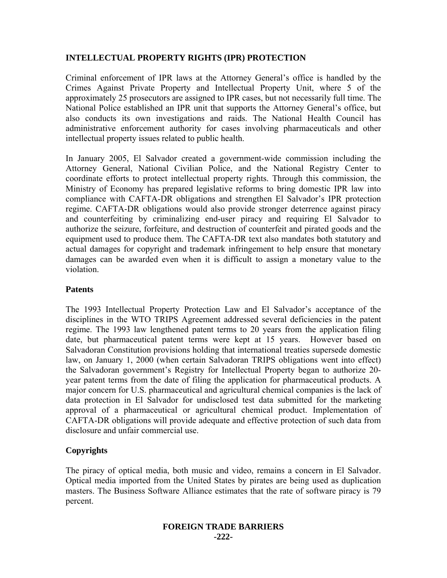# **INTELLECTUAL PROPERTY RIGHTS (IPR) PROTECTION**

Criminal enforcement of IPR laws at the Attorney General's office is handled by the Crimes Against Private Property and Intellectual Property Unit, where 5 of the approximately 25 prosecutors are assigned to IPR cases, but not necessarily full time. The National Police established an IPR unit that supports the Attorney General's office, but also conducts its own investigations and raids. The National Health Council has administrative enforcement authority for cases involving pharmaceuticals and other intellectual property issues related to public health.

In January 2005, El Salvador created a government-wide commission including the Attorney General, National Civilian Police, and the National Registry Center to coordinate efforts to protect intellectual property rights. Through this commission, the Ministry of Economy has prepared legislative reforms to bring domestic IPR law into compliance with CAFTA-DR obligations and strengthen El Salvador's IPR protection regime. CAFTA-DR obligations would also provide stronger deterrence against piracy and counterfeiting by criminalizing end-user piracy and requiring El Salvador to authorize the seizure, forfeiture, and destruction of counterfeit and pirated goods and the equipment used to produce them. The CAFTA-DR text also mandates both statutory and actual damages for copyright and trademark infringement to help ensure that monetary damages can be awarded even when it is difficult to assign a monetary value to the violation.

## **Patents**

The 1993 Intellectual Property Protection Law and El Salvador's acceptance of the disciplines in the WTO TRIPS Agreement addressed several deficiencies in the patent regime. The 1993 law lengthened patent terms to 20 years from the application filing date, but pharmaceutical patent terms were kept at 15 years. However based on Salvadoran Constitution provisions holding that international treaties supersede domestic law, on January 1, 2000 (when certain Salvadoran TRIPS obligations went into effect) the Salvadoran government's Registry for Intellectual Property began to authorize 20 year patent terms from the date of filing the application for pharmaceutical products. A major concern for U.S. pharmaceutical and agricultural chemical companies is the lack of data protection in El Salvador for undisclosed test data submitted for the marketing approval of a pharmaceutical or agricultural chemical product. Implementation of CAFTA-DR obligations will provide adequate and effective protection of such data from disclosure and unfair commercial use.

# **Copyrights**

The piracy of optical media, both music and video, remains a concern in El Salvador. Optical media imported from the United States by pirates are being used as duplication masters. The Business Software Alliance estimates that the rate of software piracy is 79 percent.

#### **FOREIGN TRADE BARRIERS -222-**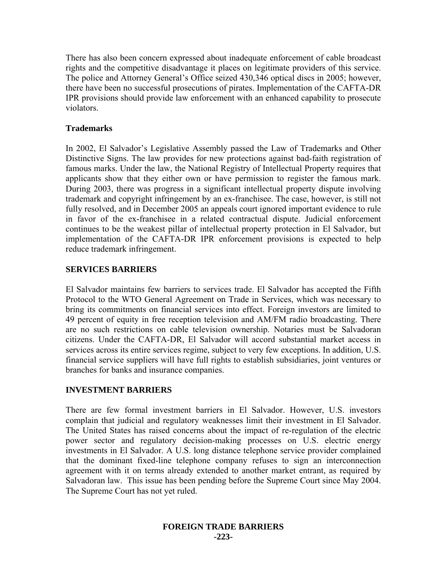There has also been concern expressed about inadequate enforcement of cable broadcast rights and the competitive disadvantage it places on legitimate providers of this service. The police and Attorney General's Office seized 430,346 optical discs in 2005; however, there have been no successful prosecutions of pirates. Implementation of the CAFTA-DR IPR provisions should provide law enforcement with an enhanced capability to prosecute violators.

# **Trademarks**

In 2002, El Salvador's Legislative Assembly passed the Law of Trademarks and Other Distinctive Signs. The law provides for new protections against bad-faith registration of famous marks. Under the law, the National Registry of Intellectual Property requires that applicants show that they either own or have permission to register the famous mark. During 2003, there was progress in a significant intellectual property dispute involving trademark and copyright infringement by an ex-franchisee. The case, however, is still not fully resolved, and in December 2005 an appeals court ignored important evidence to rule in favor of the ex-franchisee in a related contractual dispute. Judicial enforcement continues to be the weakest pillar of intellectual property protection in El Salvador, but implementation of the CAFTA-DR IPR enforcement provisions is expected to help reduce trademark infringement.

# **SERVICES BARRIERS**

El Salvador maintains few barriers to services trade. El Salvador has accepted the Fifth Protocol to the WTO General Agreement on Trade in Services, which was necessary to bring its commitments on financial services into effect. Foreign investors are limited to 49 percent of equity in free reception television and AM/FM radio broadcasting. There are no such restrictions on cable television ownership. Notaries must be Salvadoran citizens. Under the CAFTA-DR, El Salvador will accord substantial market access in services across its entire services regime, subject to very few exceptions. In addition, U.S. financial service suppliers will have full rights to establish subsidiaries, joint ventures or branches for banks and insurance companies.

# **INVESTMENT BARRIERS**

There are few formal investment barriers in El Salvador. However, U.S. investors complain that judicial and regulatory weaknesses limit their investment in El Salvador. The United States has raised concerns about the impact of re-regulation of the electric power sector and regulatory decision-making processes on U.S. electric energy investments in El Salvador. A U.S. long distance telephone service provider complained that the dominant fixed-line telephone company refuses to sign an interconnection agreement with it on terms already extended to another market entrant, as required by Salvadoran law. This issue has been pending before the Supreme Court since May 2004. The Supreme Court has not yet ruled.